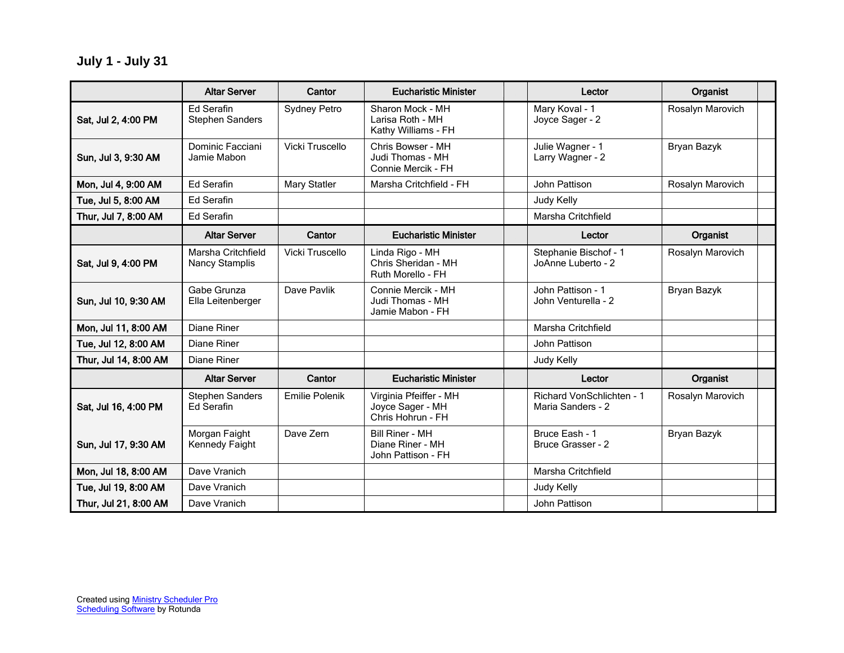**July 1 - July 31**

|                       | <b>Altar Server</b>                         | Cantor              | <b>Eucharistic Minister</b>                                      | Lector                                         | Organist         |  |
|-----------------------|---------------------------------------------|---------------------|------------------------------------------------------------------|------------------------------------------------|------------------|--|
| Sat, Jul 2, 4:00 PM   | <b>Ed Serafin</b><br><b>Stephen Sanders</b> | <b>Sydney Petro</b> | Sharon Mock - MH<br>Larisa Roth - MH<br>Kathy Williams - FH      | Mary Koval - 1<br>Joyce Sager - 2              | Rosalyn Marovich |  |
| Sun, Jul 3, 9:30 AM   | Dominic Facciani<br>Jamie Mabon             | Vicki Truscello     | Chris Bowser - MH<br>Judi Thomas - MH<br>Connie Mercik - FH      | Julie Wagner - 1<br>Larry Wagner - 2           | Bryan Bazyk      |  |
| Mon, Jul 4, 9:00 AM   | <b>Ed Serafin</b>                           | <b>Mary Statler</b> | Marsha Critchfield - FH                                          | John Pattison                                  | Rosalyn Marovich |  |
| Tue, Jul 5, 8:00 AM   | <b>Ed Serafin</b>                           |                     |                                                                  | Judy Kelly                                     |                  |  |
| Thur, Jul 7, 8:00 AM  | <b>Ed Serafin</b>                           |                     |                                                                  | Marsha Critchfield                             |                  |  |
|                       | <b>Altar Server</b>                         | Cantor              | <b>Eucharistic Minister</b>                                      | Lector                                         | Organist         |  |
| Sat, Jul 9, 4:00 PM   | Marsha Critchfield<br><b>Nancy Stamplis</b> | Vicki Truscello     | Linda Rigo - MH<br>Chris Sheridan - MH<br>Ruth Morello - FH      | Stephanie Bischof - 1<br>JoAnne Luberto - 2    | Rosalyn Marovich |  |
| Sun, Jul 10, 9:30 AM  | Gabe Grunza<br>Ella Leitenberger            | Dave Pavlik         | Connie Mercik - MH<br>Judi Thomas - MH<br>Jamie Mabon - FH       | John Pattison - 1<br>John Venturella - 2       | Bryan Bazyk      |  |
| Mon, Jul 11, 8:00 AM  | Diane Riner                                 |                     |                                                                  | Marsha Critchfield                             |                  |  |
| Tue, Jul 12, 8:00 AM  | <b>Diane Riner</b>                          |                     |                                                                  | John Pattison                                  |                  |  |
| Thur, Jul 14, 8:00 AM | Diane Riner                                 |                     |                                                                  | Judy Kelly                                     |                  |  |
|                       | <b>Altar Server</b>                         | Cantor              | <b>Eucharistic Minister</b>                                      | Lector                                         | Organist         |  |
| Sat, Jul 16, 4:00 PM  | <b>Stephen Sanders</b><br><b>Ed Serafin</b> | Emilie Polenik      | Virginia Pfeiffer - MH<br>Joyce Sager - MH<br>Chris Hohrun - FH  | Richard VonSchlichten - 1<br>Maria Sanders - 2 | Rosalyn Marovich |  |
| Sun, Jul 17, 9:30 AM  | Morgan Faight<br>Kennedy Faight             | Dave Zern           | <b>Bill Riner - MH</b><br>Diane Riner - MH<br>John Pattison - FH | Bruce Eash - 1<br>Bruce Grasser - 2            | Bryan Bazyk      |  |
| Mon, Jul 18, 8:00 AM  | Dave Vranich                                |                     |                                                                  | Marsha Critchfield                             |                  |  |
| Tue, Jul 19, 8:00 AM  | Dave Vranich                                |                     |                                                                  | Judy Kelly                                     |                  |  |
| Thur, Jul 21, 8:00 AM | Dave Vranich                                |                     |                                                                  | John Pattison                                  |                  |  |